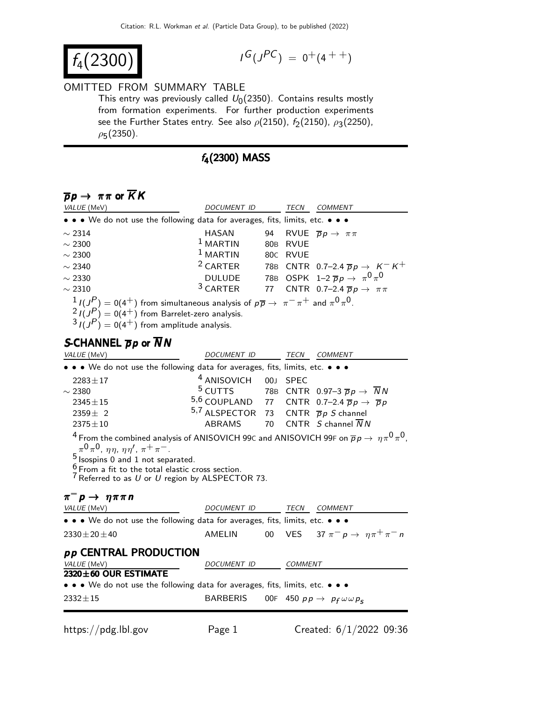$$
f_4(2300) \qquad \qquad \blacksquare
$$

$$
I^G(J^{PC}) = 0^+(4^{++})
$$

#### OMITTED FROM SUMMARY TABLE

This entry was previously called  $U_0(2350)$ . Contains results mostly from formation experiments. For further production experiments see the Further States entry. See also  $\rho(2150)$ ,  $f_2(2150)$ ,  $\rho_3(2250)$ ,  $\rho$ 5(2350).

#### $f_4(2300)$  MASS

### $\overline{p}p \to \pi \pi$  or  $\overline{K}K$

| VALUE (MeV)                                                                   | DOCUMENT ID                                                                                                                                                                                                                                              |     | TECN        | <b>COMMENT</b>                                                          |  |
|-------------------------------------------------------------------------------|----------------------------------------------------------------------------------------------------------------------------------------------------------------------------------------------------------------------------------------------------------|-----|-------------|-------------------------------------------------------------------------|--|
|                                                                               | • • • We do not use the following data for averages, fits, limits, etc. • • •                                                                                                                                                                            |     |             |                                                                         |  |
| $\sim$ 2314                                                                   | HASAN                                                                                                                                                                                                                                                    | 94  |             | RVUE $\overline{p}p \rightarrow \pi \pi$                                |  |
| $\sim$ 2300                                                                   | $1$ MARTIN                                                                                                                                                                                                                                               | 80B | <b>RVUE</b> |                                                                         |  |
| $\sim$ 2300                                                                   | $1$ MARTIN                                                                                                                                                                                                                                               |     | 80C RVUE    |                                                                         |  |
| $\sim$ 2340                                                                   |                                                                                                                                                                                                                                                          |     |             | <sup>2</sup> CARTER 78B CNTR 0.7-2.4 $\overline{p}p \rightarrow K^-K^+$ |  |
| $\sim$ 2330                                                                   |                                                                                                                                                                                                                                                          |     |             | DULUDE 78B OSPK $1-2 \overline{p} p \rightarrow \pi^0 \pi^0$            |  |
| $\sim$ 2310                                                                   |                                                                                                                                                                                                                                                          |     |             | <sup>3</sup> CARTER 77 CNTR 0.7-2.4 $\overline{p}p \rightarrow \pi \pi$ |  |
| S-CHANNEL $\overline{p}p$ or NN                                               | $\frac{1}{2}I(J_{-}^{P})=0(4^{+})$ from simultaneous analysis of $p\overline{p} \rightarrow \pi^{-}\pi^{+}$ and $\pi^{0}\pi^{0}$ .<br>$\frac{2}{3}I(J^P) = 0(4^+)$ from Barrelet-zero analysis.<br>$\frac{3}{3}I(J^P) = 0(4^+)$ from amplitude analysis. |     |             |                                                                         |  |
| VALUE (MeV)                                                                   | DOCUMENT ID                                                                                                                                                                                                                                              |     | TECN        | <b>COMMENT</b>                                                          |  |
| • • • We do not use the following data for averages, fits, limits, etc. • • • |                                                                                                                                                                                                                                                          |     |             |                                                                         |  |
| $2283 \pm 17$                                                                 | 4 ANISOVICH 00J SPEC                                                                                                                                                                                                                                     |     |             |                                                                         |  |
| $\sim$ 2380                                                                   |                                                                                                                                                                                                                                                          |     |             | <sup>5</sup> CUTTS 78B CNTR 0.97-3 $\overline{p}p \rightarrow NN$       |  |
| $2345 \pm 15$                                                                 |                                                                                                                                                                                                                                                          |     |             | 5,6 COUPLAND 77 CNTR 0.7-2.4 $\overline{p}p \rightarrow \overline{p}p$  |  |
| $2359 \pm 2$                                                                  | 5,7 ALSPECTOR 73 CNTR $\overline{p}p S$ channel                                                                                                                                                                                                          |     |             |                                                                         |  |
| $2375 \pm 10$                                                                 | ABRAMS                                                                                                                                                                                                                                                   | 70  |             | CNTR $S$ channel $NN$                                                   |  |

 $^4$  From the combined analysis of ANISOVICH 99C and ANISOVICH 99F on  $\overline{p} \, p \to \, \eta \, \pi^0 \, \pi^0$  ,  $\pi^0 \pi^0$ ,  $\eta \eta$ ,  $\eta \eta'$ ,  $\pi^+ \pi^-$ .

5 *Isospins 0 and 1 not separated.* 

 $\frac{6}{7}$  From a fit to the total elastic cross section.

 $7$  Referred to as U or U region by ALSPECTOR 73.

#### $\pi^- p \to \eta \pi \pi n$ VALUE (MeV) DOCUMENT ID TECN COMMENT • • • We do not use the following data for averages, fits, limits, etc. • • •  $2330 \pm 20 \pm 40$  AMELIN 00 VES  $37 \pi^- p \to \eta \pi^+ \pi^- n$ pp CENTRAL PRODUCTION VALUE (MeV) DOCUMENT ID COMMENT 2320±60 OUR ESTIMATE • • • We do not use the following data for averages, fits, limits, etc. • • •  $2332 \pm 15$  BARBERIS 00F 450  $pp \rightarrow pp \omega \omega p_{s}$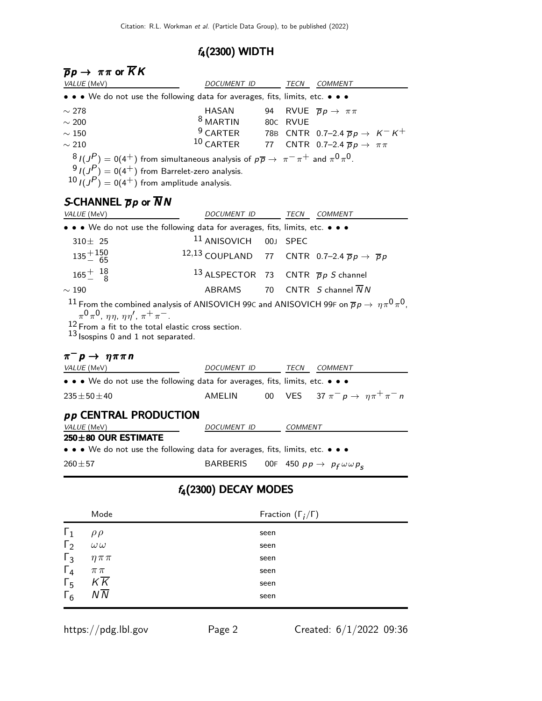# f4(2300) WIDTH

| $\overline{p}p\rightarrow\ \pi\pi$ or $KK$                                                                                                                                                                                            |                                                         |      |                              |                                                                                                          |  |
|---------------------------------------------------------------------------------------------------------------------------------------------------------------------------------------------------------------------------------------|---------------------------------------------------------|------|------------------------------|----------------------------------------------------------------------------------------------------------|--|
| VALUE (MeV)                                                                                                                                                                                                                           | DOCUMENT ID                                             |      |                              | TECN COMMENT                                                                                             |  |
| • • • We do not use the following data for averages, fits, limits, etc. • • •                                                                                                                                                         |                                                         |      |                              |                                                                                                          |  |
| $\sim$ 278                                                                                                                                                                                                                            | HASAN<br><sup>8</sup> MARTIN                            | 94   |                              | RVUE $\overline{p}p \rightarrow \pi \pi$                                                                 |  |
| $\sim$ 200                                                                                                                                                                                                                            | $9$ CARTER                                              |      | 80C RVUE                     |                                                                                                          |  |
| $\sim 150$<br>$\sim 210$                                                                                                                                                                                                              | $10$ CARTER                                             | 77   |                              | 78B CNTR 0.7-2.4 $\overline{p}p \rightarrow K^- K^+$<br>CNTR 0.7-2.4 $\overline{p}p \rightarrow \pi \pi$ |  |
|                                                                                                                                                                                                                                       |                                                         |      |                              |                                                                                                          |  |
| $\frac{8}{J}$ $J(J^P) = 0(4^+)$ from simultaneous analysis of $p\overline{p} \rightarrow \pi^- \pi^+$ and $\pi^0 \pi^0$ .<br>$\frac{9}{2}I(J^P) = 0(4^+)$ from Barrelet-zero analysis.<br>$10 I(JP) = 0(4+)$ from amplitude analysis. |                                                         |      |                              |                                                                                                          |  |
| S-CHANNEL $\overline{p}p$ or NN                                                                                                                                                                                                       |                                                         |      |                              |                                                                                                          |  |
| VALUE (MeV)                                                                                                                                                                                                                           | DOCUMENT ID                                             |      |                              | TECN COMMENT                                                                                             |  |
| • • • We do not use the following data for averages, fits, limits, etc. • • •                                                                                                                                                         |                                                         |      |                              |                                                                                                          |  |
| $310 \pm 25$                                                                                                                                                                                                                          | $^{11}$ ANISOVICH                                       | 00J  | <b>SPEC</b>                  |                                                                                                          |  |
| $135 + 150$<br>65                                                                                                                                                                                                                     | 12,13 COUPLAND                                          |      |                              | 77 CNTR 0.7-2.4 $\overline{p}p \rightarrow \overline{p}p$                                                |  |
| $165^{+}_{-}$ $^{18}_{8}$                                                                                                                                                                                                             | <sup>13</sup> ALSPECTOR                                 |      |                              | 73 CNTR $\overline{p}p S$ channel                                                                        |  |
| $\sim 190$                                                                                                                                                                                                                            | ABRAMS                                                  | 70   |                              | CNTR $S$ channel $\overline{N}$ N                                                                        |  |
| $12$ From a fit to the total elastic cross section.<br>$13$ Isospins 0 and 1 not separated.<br>$\pi^- p \to \eta \pi \pi n$                                                                                                           |                                                         |      |                              |                                                                                                          |  |
| VALUE (MeV)                                                                                                                                                                                                                           | DOCUMENT ID                                             |      |                              | <b>TECN COMMENT</b>                                                                                      |  |
| • • • We do not use the following data for averages, fits, limits, etc. • • •                                                                                                                                                         |                                                         |      |                              |                                                                                                          |  |
| $235 \pm 50 \pm 40$                                                                                                                                                                                                                   | AMELIN                                                  | 00   |                              | VES 37 $\pi^- p \rightarrow \eta \pi^+ \pi^- n$                                                          |  |
| <b><i>pp</i></b> CENTRAL PRODUCTION                                                                                                                                                                                                   |                                                         |      | <b>COMMENT</b>               |                                                                                                          |  |
| VALUE (MeV)<br>250±80 OUR ESTIMATE                                                                                                                                                                                                    | DOCUMENT ID                                             |      |                              |                                                                                                          |  |
| • • • We do not use the following data for averages, fits, limits, etc. • • •                                                                                                                                                         |                                                         |      |                              |                                                                                                          |  |
| $260 + 57$                                                                                                                                                                                                                            | BARBERIS 00F 450 $pp \rightarrow p_f \omega \omega p_s$ |      |                              |                                                                                                          |  |
|                                                                                                                                                                                                                                       | $f_4(2300)$ DECAY MODES                                 |      |                              |                                                                                                          |  |
| Mode                                                                                                                                                                                                                                  |                                                         |      | Fraction $(\Gamma_i/\Gamma)$ |                                                                                                          |  |
| $\mathsf{L}_1$<br>$\rho \rho$                                                                                                                                                                                                         |                                                         | seen |                              |                                                                                                          |  |
| $\Gamma_2$<br>$\omega\,\omega$                                                                                                                                                                                                        |                                                         | seen |                              |                                                                                                          |  |
| $\Gamma_3$<br>$\eta \pi \pi$                                                                                                                                                                                                          |                                                         | seen |                              |                                                                                                          |  |
| $\Gamma_4$<br>$\pi\,\pi$                                                                                                                                                                                                              |                                                         | seen |                              |                                                                                                          |  |
| $K\overline{K}$<br>$\mathsf{F}_5$                                                                                                                                                                                                     |                                                         | seen |                              |                                                                                                          |  |

 $\Gamma_6$  NN seen